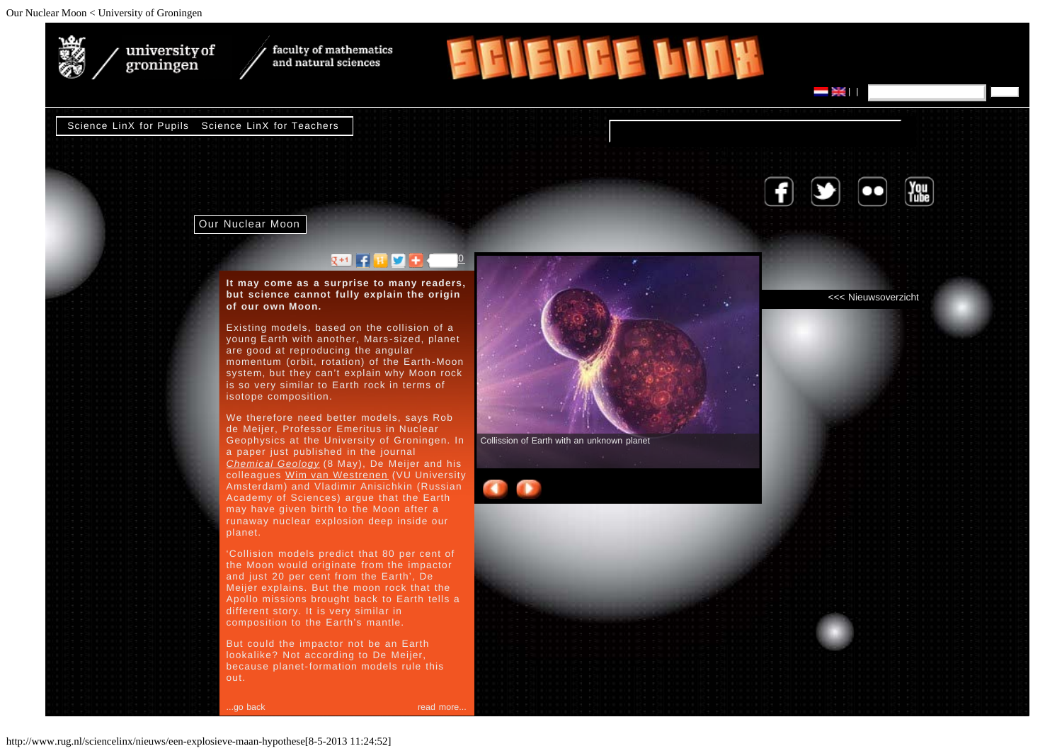<span id="page-0-0"></span>

university of faculty of mathematics and natural sciences

[Science LinX for Pupils](http://www.rug.nl/sciencelinx/scholieren/) [Science LinX for Teachers](http://www.rug.nl/sciencelinx/docenten/)

groningen



[<<< Nieuwsoverzicht](http://www.rug.nl/sciencelinx/nieuws/)

| | search

Our Nuclear Moon

## $R = 1$

**It may come as a surprise to many readers, but science cannot fully explain the origin of our own Moon.**

Existing models, based on the collision of a young Earth with another, Mars-sized, planet are good at reproducing the angular momentum (orbit, rotation) of the Earth-Moon system, but they can't explain why Moon rock is so very similar to Earth rock in terms of isotope composition.

We therefore need better models, says Rob de Meijer, Professor Emeritus in Nuclear Geophysics at the University of Groningen. In a paper just published in the journal *[Chemical Geology](http://www.sciencedirect.com/science/journal/00092541)* (8 May), De Meijer and his colleagues [Wim van Westrenen](http://www.falw.vu/%7Ewvwest) (VU University Amsterdam) and Vladimir Anisichkin (Russian Academy of Sciences) argue that the Earth may have given birth to the Moon after a runaway nuclear explosion deep inside our planet.

'Collision models predict that 80 per cent of the Moon would originate from the impactor and just 20 per cent from the Earth', De Meijer explains. But the moon rock that the Apollo missions brought back to Earth tells a different story. It is very similar in composition to the Earth's mantle.

But could the impactor not be an Earth lookalike? Not according to De Meijer, because planet-formation models rule this out.

..go back and the control of the control of the control of the control of the control of the control of the control of the control of the control of the control of the control of the control of the control of the control o



**EFIENCE LINK** 

Collission of Earth with an unknown planet

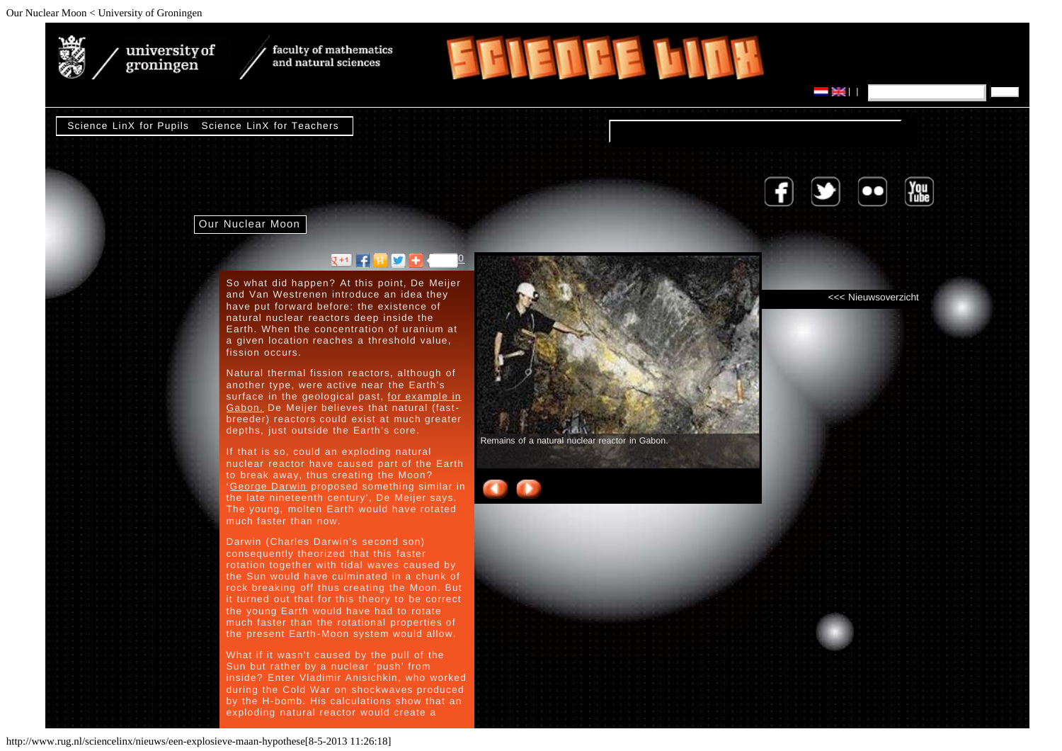

university of<br>groningen

faculty of mathematics and natural sciences

## [Science LinX for Pupils](http://www.rug.nl/sciencelinx/scholieren/) [Science LinX for Teachers](http://www.rug.nl/sciencelinx/docenten/)



Our Nuclear Moon

## $R = 1$

So what did happen? At this point, De Meijer and Van Westrenen introduce an idea they have put forward before: the existence of natural nuclear reactors deep inside the Earth. When the concentration of uranium at a given location reaches a threshold value, fission occurs.

Natural thermal fission reactors, although of another type, were active near the Earth's surface in the geological past, [for example in](http://en.wikipedia.org/wiki/Oklo) [Gabon.](http://en.wikipedia.org/wiki/Oklo) De Meijer believes that natural (fastbreeder) reactors could exist at much greater depths, just outside the Earth's core.

If that is so, could an exploding natural nuclear reactor have caused part of the Earth to break away, thus creating the Moon? '[George Darwin](http://en.wikipedia.org/wiki/George_darwin) proposed something similar in the late nineteenth century', De Meijer says. The young, molten Earth would have rotated much faster than now.

Darwin (Charles Darwin's second son) consequently theorized that this faster rotation together with tidal waves caused by the Sun would have culminated in a chunk of rock breaking off thus creating the Moon. But it turned out that for this theory to be correct the young Earth would have had to rotate much faster than the rotational properties of the present Earth-Moon system would allow.

What if it wasn't caused by the pull of the Sun but rather by a nuclear 'push' from inside? Enter Vladimir Anisichkin, who worked during the Cold War on shockwaves produced by the H-bomb. His calculations show that an exploding natural reactor would create a



**FFIENTE LINK** 

[<<< Nieuwsoverzicht](http://www.rug.nl/sciencelinx/nieuws/)

| | search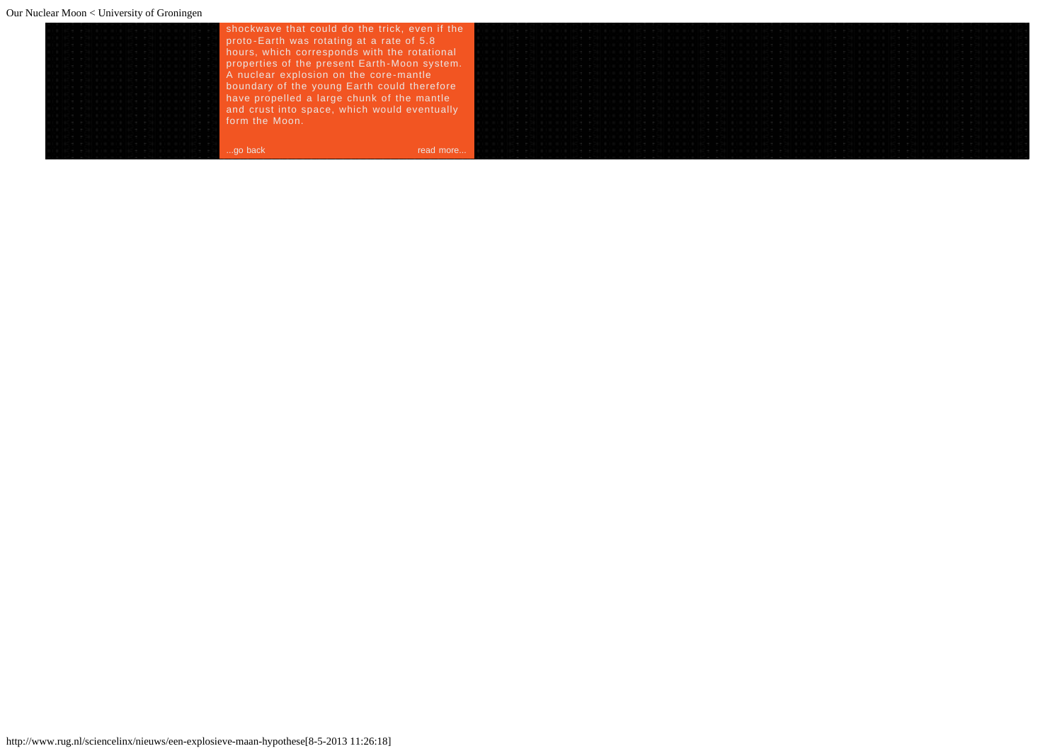| de estilata arabide estilata atalise                                                                                                                                                                                           | shockwave that could do the trick, even if the | 이 아이들은 아이들이 아이들이 없는 사람들이 아이들이 없는 사람들이 아이들이 없는 사람들이 아이들이 없는 사람들이 아이들이 없는 사람들이 아이들이 없는 사람들이 아이들이 없는 사람들이 아이들                                                                                                                        |
|--------------------------------------------------------------------------------------------------------------------------------------------------------------------------------------------------------------------------------|------------------------------------------------|-----------------------------------------------------------------------------------------------------------------------------------------------------------------------------------------------------------------------------------|
|                                                                                                                                                                                                                                | proto-Earth was rotating at a rate of 5.8      |                                                                                                                                                                                                                                   |
|                                                                                                                                                                                                                                | hours, which corresponds with the rotational   | in in the list of the second list of the second list of the second list of the second list of the second list of the second                                                                                                       |
| CH FOICER SECRETCH FOICER SECICIO<br>ce estrella recentación están el electronico                                                                                                                                              | properties of the present Earth-Moon system.   | [대리]에 대한 사람들은 아이들이 아니라 아이들이 아니라 아니라 아니라 아이들이 아니라 아니라 아이들이 아니라 아니라 아니라 아이들이 아니라 아이들이 아니라 아니라 아이들이 아니라 아이들이 아니라                                                                                                                     |
|                                                                                                                                                                                                                                | A nuclear explosion on the core-mantle         | [1] 이 아이들이 아니라 이 아이들이 아니라 이 아이들이 아니라 이 아니라 이 아이들이 아니라 이 아니라 이 아이들이 아니라 이 아니라 이 아니라 이 아니라 이 아니라 이 아니라 이 아니라 아니라<br>THE RESIDENCE POLITICS AND RESIDENT AND RESIDENT AND RESIDENCE AND RESIDENCE POLITICS AND RESIDENT AND RESIDENT |
| de edificio di constituito del controllo del constitucione del constituzione del constituzione del constituzione del constituzione del constituzione del constituzione del constituzione del constituzione del constituzione d | boundary of the young Earth could therefore    |                                                                                                                                                                                                                                   |
| de edificio di Bilde, edificio di Bilde, e<br>de estilare enalide estilare enalide e                                                                                                                                           | have propelled a large chunk of the mantle     |                                                                                                                                                                                                                                   |
| ______________<br>de edificio de la facere di la constantiace.                                                                                                                                                                 | and crust into space, which would eventually   |                                                                                                                                                                                                                                   |
| de estrare erailde estrare erailde.                                                                                                                                                                                            | form the Moon.                                 | ia ia ana kotiko ana kotiko kona la ana kotiko ana kotiko kona kata kotiko kotika ana kotiko kona kotiko kona k                                                                                                                   |
| 아버지는 아버지가 어머니께서 어머니는 어머니가 어머니께서 어머니가 없었다.                                                                                                                                                                                      |                                                |                                                                                                                                                                                                                                   |
|                                                                                                                                                                                                                                |                                                | in de la districta de Silva de la distribución de la secunda de la decida de la distribución de la contra de l                                                                                                                    |
|                                                                                                                                                                                                                                | read more<br>go back                           |                                                                                                                                                                                                                                   |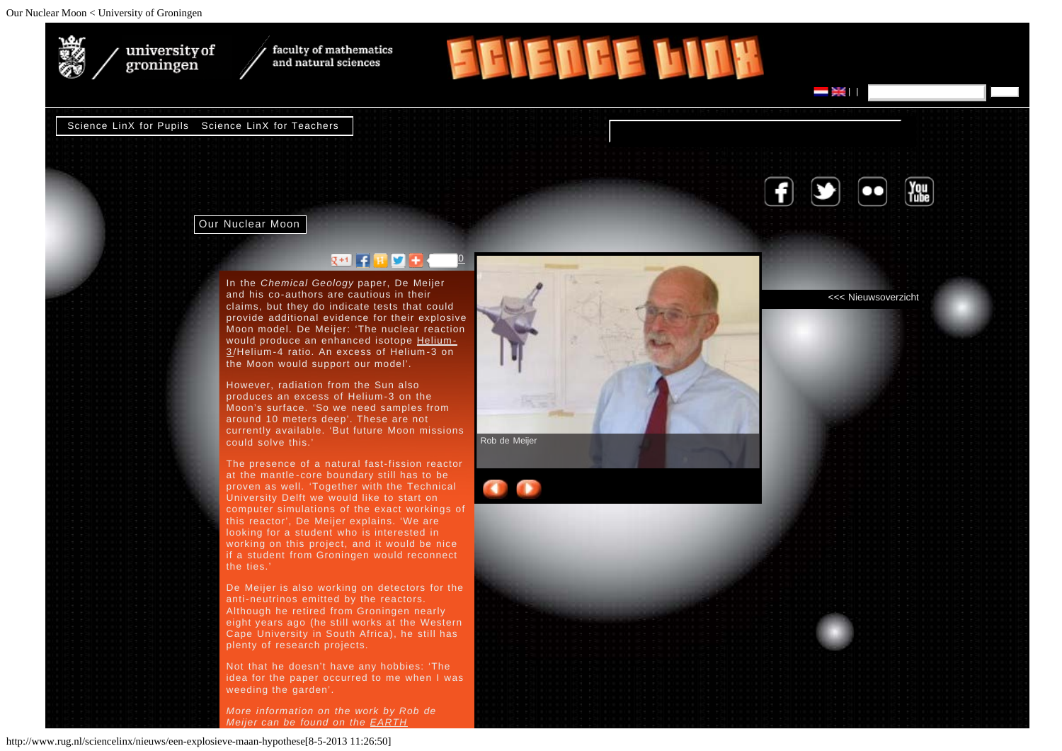

university of faculty of mathematics and natural sciences

[Science LinX for Pupils](http://www.rug.nl/sciencelinx/scholieren/) [Science LinX for Teachers](http://www.rug.nl/sciencelinx/docenten/)

groningen



[<<< Nieuwsoverzicht](http://www.rug.nl/sciencelinx/nieuws/)

| | search

Our Nuclear Moon

## $\mathbb{R}$  s  $\mathbb{R}$  s  $\mathbb{R}$  s  $\mathbb{R}$  s  $\mathbb{R}$  s  $\mathbb{R}$  s  $\mathbb{R}$  s  $\mathbb{R}$  s  $\mathbb{R}$  s  $\mathbb{R}$  s  $\mathbb{R}$  s  $\mathbb{R}$  s  $\mathbb{R}$  s  $\mathbb{R}$  s  $\mathbb{R}$  s  $\mathbb{R}$  s  $\mathbb{R}$  s  $\mathbb{R}$  s  $\mathbb{R}$  s  $\mathbb{R}$  s

In the *Chemical Geology* paper, De Meijer and his co-authors are cautious in their claims, but they do indicate tests that could provide additional evidence for their explosive Moon model. De Meijer: 'The nuclear reaction would produce an enhanced isotope [Helium-](http://en.wikipedia.org/wiki/Helium-3)[3](http://en.wikipedia.org/wiki/Helium-3) /Helium-4 ratio. An excess of Helium-3 on the Moon would support our model'.

However, radiation from the Sun also produces an excess of Helium-3 on the Moon's surface. 'So we need samples from around 10 meters deep'. These are not currently available. 'But future Moon missions could solve this.'

The presence of a natural fast-fission reactor at the mantle-core boundary still has to be proven as well. 'Together with the Technical University Delft we would like to start on computer simulations of the exact workings of this reactor', De Meijer explains. 'We are looking for a student who is interested in working on this project, and it would be nice if a student from Groningen would reconnect the ties.'

De Meijer is also working on detectors for the anti-neutrinos emitted by the reactors. Although he retired from Groningen nearly eight years ago (he still works at the Western Cape University in South Africa), he still has plenty of research projects.

Not that he doesn't have any hobbies: 'The idea for the paper occurred to me when I was weeding the garden'.

*More information on the work by Rob de Meijer can be found on the [EARTH](http://www.geoneutrino.nl/)*



**EFIENTE LINK**